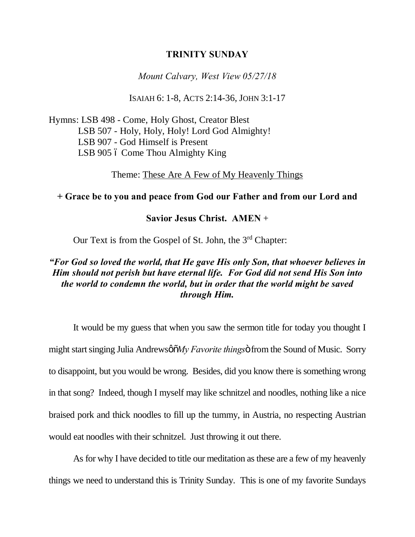#### **TRINITY SUNDAY**

*Mount Calvary, West View 05/27/18*

ISAIAH 6: 1-8, ACTS 2:14-36, JOHN 3:1-17

Hymns: LSB 498 - Come, Holy Ghost, Creator Blest LSB 507 - Holy, Holy, Holy! Lord God Almighty! LSB 907 - God Himself is Present LSB 905 6 Come Thou Almighty King

Theme: These Are A Few of My Heavenly Things

## **+ Grace be to you and peace from God our Father and from our Lord and**

### **Savior Jesus Christ. AMEN** +

Our Text is from the Gospel of St. John, the 3<sup>rd</sup> Chapter:

## *"For God so loved the world, that He gave His only Son, that whoever believes in Him should not perish but have eternal life. For God did not send His Son into the world to condemn the world, but in order that the world might be saved through Him.*

It would be my guess that when you saw the sermon title for today you thought I might start singing Julia Andrewsø  $\delta M_y$  *Favorite things* of from the Sound of Music. Sorry to disappoint, but you would be wrong. Besides, did you know there is something wrong in that song? Indeed, though I myself may like schnitzel and noodles, nothing like a nice braised pork and thick noodles to fill up the tummy, in Austria, no respecting Austrian would eat noodles with their schnitzel. Just throwing it out there.

As for why I have decided to title our meditation as these are a few of my heavenly things we need to understand this is Trinity Sunday. This is one of my favorite Sundays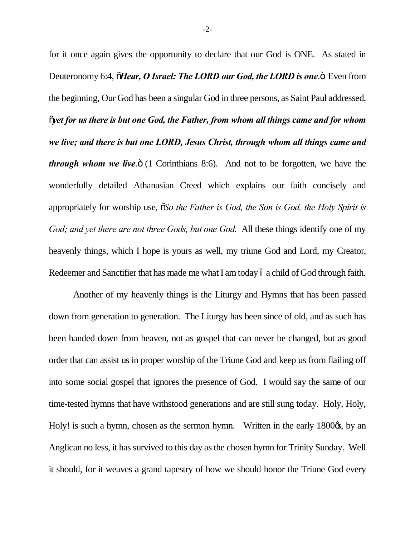for it once again gives the opportunity to declare that our God is ONE. As stated in Deuteronomy 6:4,  $\tilde{o}$ *Hear, O Israel: The LORD our God, the LORD is one*. $\tilde{o}$  Even from the beginning, Our God has been a singular God in three persons, as Saint Paul addressed,  $\tilde{\rho}$  *yet for us there is but one God, the Father, from whom all things came and for whom we live; and there is but one LORD, Jesus Christ, through whom all things came and through whom we live.* 6 (1 Corinthians 8:6). And not to be forgotten, we have the wonderfully detailed Athanasian Creed which explains our faith concisely and appropriately for worship use,  $\tilde{a}S$ o the Father is God, the Son is God, the Holy Spirit is *God; and yet there are not three Gods, but one God.* All these things identify one of my heavenly things, which I hope is yours as well, my triune God and Lord, my Creator, Redeemer and Sanctifier that has made me what I am today 6 a child of God through faith.

Another of my heavenly things is the Liturgy and Hymns that has been passed down from generation to generation. The Liturgy has been since of old, and as such has been handed down from heaven, not as gospel that can never be changed, but as good order that can assist us in proper worship of the Triune God and keep us from flailing off into some social gospel that ignores the presence of God. I would say the same of our time-tested hymns that have withstood generations and are still sung today. Holy, Holy, Holy! is such a hymn, chosen as the sermon hymn. Written in the early 1800 $\alpha$ , by an Anglican no less, it has survived to this day as the chosen hymn for Trinity Sunday. Well it should, for it weaves a grand tapestry of how we should honor the Triune God every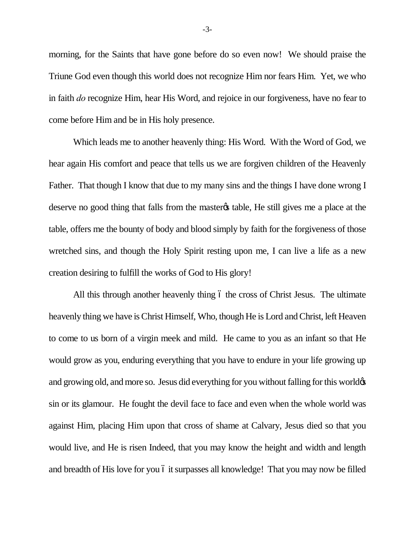morning, for the Saints that have gone before do so even now! We should praise the Triune God even though this world does not recognize Him nor fears Him. Yet, we who in faith *do* recognize Him, hear His Word, and rejoice in our forgiveness, have no fear to come before Him and be in His holy presence.

Which leads me to another heavenly thing: His Word. With the Word of God, we hear again His comfort and peace that tells us we are forgiven children of the Heavenly Father. That though I know that due to my many sins and the things I have done wrong I deserve no good thing that falls from the master table. He still gives me a place at the table, offers me the bounty of body and blood simply by faith for the forgiveness of those wretched sins, and though the Holy Spirit resting upon me, I can live a life as a new creation desiring to fulfill the works of God to His glory!

All this through another heavenly thing  $\acute{o}$  the cross of Christ Jesus. The ultimate heavenly thing we have is Christ Himself, Who, though He is Lord and Christ, left Heaven to come to us born of a virgin meek and mild. He came to you as an infant so that He would grow as you, enduring everything that you have to endure in your life growing up and growing old, and more so. Jesus did everything for you without falling for this world  $\alpha$ sin or its glamour. He fought the devil face to face and even when the whole world was against Him, placing Him upon that cross of shame at Calvary, Jesus died so that you would live, and He is risen Indeed, that you may know the height and width and length and breadth of His love for you 6 it surpasses all knowledge! That you may now be filled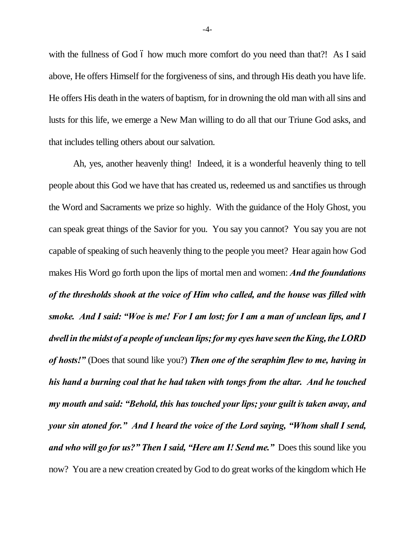with the fullness of God 6 how much more comfort do you need than that?! As I said above, He offers Himself for the forgiveness of sins, and through His death you have life. He offers His death in the waters of baptism, for in drowning the old man with all sins and lusts for this life, we emerge a New Man willing to do all that our Triune God asks, and that includes telling others about our salvation.

Ah, yes, another heavenly thing! Indeed, it is a wonderful heavenly thing to tell people about this God we have that has created us, redeemed us and sanctifies us through the Word and Sacraments we prize so highly. With the guidance of the Holy Ghost, you can speak great things of the Savior for you. You say you cannot? You say you are not capable of speaking of such heavenly thing to the people you meet? Hear again how God makes His Word go forth upon the lips of mortal men and women: *And the foundations of the thresholds shook at the voice of Him who called, and the house was filled with smoke. And I said: "Woe is me! For I am lost; for I am a man of unclean lips, and I dwell in the midst of a people of unclean lips; for my eyes have seen the King, the LORD of hosts!"* (Does that sound like you?) *Then one of the seraphim flew to me, having in his hand a burning coal that he had taken with tongs from the altar. And he touched my mouth and said: "Behold, this has touched your lips; your guilt is taken away, and your sin atoned for." And I heard the voice of the Lord saying, "Whom shall I send, and who will go for us?" Then I said, "Here am I! Send me."* Does this sound like you now? You are a new creation created by God to do great works of the kingdom which He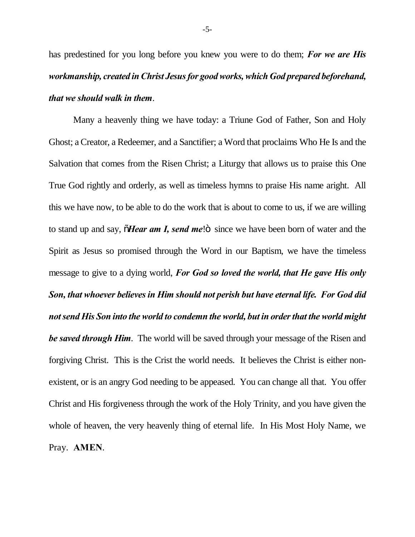has predestined for you long before you knew you were to do them; *For we are His workmanship, created in Christ Jesus for good works, which God prepared beforehand, that we should walk in them*.

Many a heavenly thing we have today: a Triune God of Father, Son and Holy Ghost; a Creator, a Redeemer, and a Sanctifier; a Word that proclaims Who He Is and the Salvation that comes from the Risen Christ; a Liturgy that allows us to praise this One True God rightly and orderly, as well as timeless hymns to praise His name aright. All this we have now, to be able to do the work that is about to come to us, if we are willing to stand up and say,  $\tilde{o}$ *Hear am I, send me*! $\tilde{o}$  since we have been born of water and the Spirit as Jesus so promised through the Word in our Baptism, we have the timeless message to give to a dying world, *For God so loved the world, that He gave His only Son, that whoever believes in Him should not perish but have eternal life. For God did not send His Son into the world to condemn the world, but in order that the world might be saved through Him*. The world will be saved through your message of the Risen and forgiving Christ. This is the Crist the world needs. It believes the Christ is either nonexistent, or is an angry God needing to be appeased. You can change all that. You offer Christ and His forgiveness through the work of the Holy Trinity, and you have given the whole of heaven, the very heavenly thing of eternal life. In His Most Holy Name, we Pray. **AMEN**.